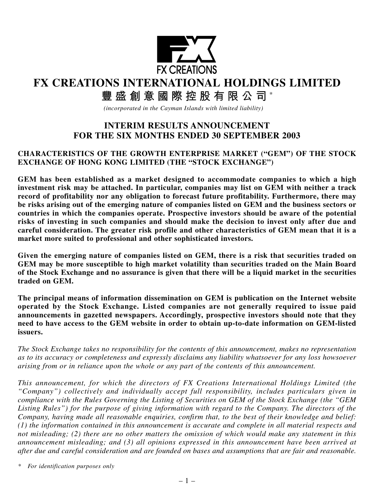

# **FX CREATIONS INTERNATIONAL HOLDINGS LIMITED**

**豐盛創意國際控股有限公司** \*

*(incorporated in the Cayman Islands with limited liability)*

## **INTERIM RESULTS ANNOUNCEMENT FOR THE SIX MONTHS ENDED 30 SEPTEMBER 2003**

#### **CHARACTERISTICS OF THE GROWTH ENTERPRISE MARKET ("GEM") OF THE STOCK EXCHANGE OF HONG KONG LIMITED (THE "STOCK EXCHANGE")**

**GEM has been established as a market designed to accommodate companies to which a high investment risk may be attached. In particular, companies may list on GEM with neither a track record of profitability nor any obligation to forecast future profitability. Furthermore, there may be risks arising out of the emerging nature of companies listed on GEM and the business sectors or countries in which the companies operate. Prospective investors should be aware of the potential risks of investing in such companies and should make the decision to invest only after due and careful consideration. The greater risk profile and other characteristics of GEM mean that it is a market more suited to professional and other sophisticated investors.**

**Given the emerging nature of companies listed on GEM, there is a risk that securities traded on GEM may be more susceptible to high market volatility than securities traded on the Main Board of the Stock Exchange and no assurance is given that there will be a liquid market in the securities traded on GEM.**

**The principal means of information dissemination on GEM is publication on the Internet website operated by the Stock Exchange. Listed companies are not generally required to issue paid announcements in gazetted newspapers. Accordingly, prospective investors should note that they need to have access to the GEM website in order to obtain up-to-date information on GEM-listed issuers.**

*The Stock Exchange takes no responsibility for the contents of this announcement, makes no representation as to its accuracy or completeness and expressly disclaims any liability whatsoever for any loss howsoever arising from or in reliance upon the whole or any part of the contents of this announcement.*

*This announcement, for which the directors of FX Creations International Holdings Limited (the "Company") collectively and individually accept full responsibility, includes particulars given in compliance with the Rules Governing the Listing of Securities on GEM of the Stock Exchange (the "GEM Listing Rules") for the purpose of giving information with regard to the Company. The directors of the Company, having made all reasonable enquiries, confirm that, to the best of their knowledge and belief: (1) the information contained in this announcement is accurate and complete in all material respects and not misleading; (2) there are no other matters the omission of which would make any statement in this announcement misleading; and (3) all opinions expressed in this announcement have been arrived at after due and careful consideration and are founded on bases and assumptions that are fair and reasonable.*

*\* For identification purposes only*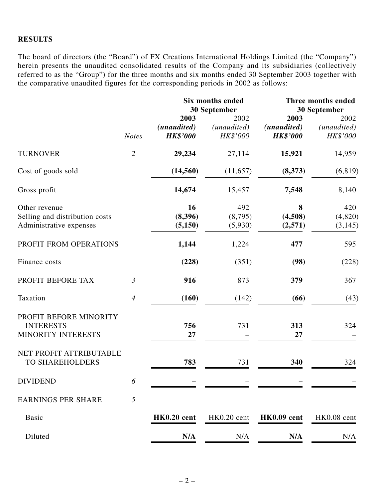#### **RESULTS**

The board of directors (the "Board") of FX Creations International Holdings Limited (the "Company") herein presents the unaudited consolidated results of the Company and its subsidiaries (collectively referred to as the "Group") for the three months and six months ended 30 September 2003 together with the comparative unaudited figures for the corresponding periods in 2002 as follows:

|                         |                                        | <b>Six months ended</b>         |                                        | Three months ended<br>30 September |
|-------------------------|----------------------------------------|---------------------------------|----------------------------------------|------------------------------------|
| <b>Notes</b>            | 2003<br>(unaudited)<br><b>HK\$'000</b> | 2002<br>(unaudited)<br>HK\$'000 | 2003<br>(unaudited)<br><b>HK\$'000</b> | 2002<br>(unaudited)<br>HK\$'000    |
| $\overline{2}$          | 29,234                                 | 27,114                          | 15,921                                 | 14,959                             |
|                         | (14, 560)                              | (11,657)                        | (8,373)                                | (6, 819)                           |
|                         | 14,674                                 | 15,457                          | 7,548                                  | 8,140                              |
|                         | 16<br>(8,396)<br>(5,150)               | 492<br>(8,795)<br>(5,930)       | 8<br>(4,508)<br>(2,571)                | 420<br>(4, 820)<br>(3, 145)        |
| PROFIT FROM OPERATIONS  | 1,144                                  | 1,224                           | 477                                    | 595                                |
|                         | (228)                                  | (351)                           | (98)                                   | (228)                              |
| $\mathfrak{Z}$          | 916                                    | 873                             | 379                                    | 367                                |
| $\overline{4}$          | (160)                                  | (142)                           | (66)                                   | (43)                               |
| PROFIT BEFORE MINORITY  | 756<br>27                              | 731                             | 313<br>27                              | 324                                |
| NET PROFIT ATTRIBUTABLE | 783                                    | 731                             | 340                                    | 324                                |
| 6                       |                                        |                                 |                                        |                                    |
| 5                       |                                        |                                 |                                        |                                    |
|                         | HK0.20 cent                            | HK0.20 cent                     | HK0.09 cent                            | HK0.08 cent                        |
|                         | N/A                                    | N/A                             | N/A                                    | N/A                                |
|                         |                                        |                                 | 30 September                           |                                    |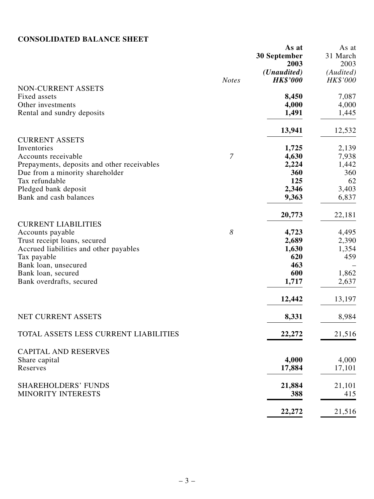## **CONSOLIDATED BALANCE SHEET**

| CONSOLIDATED BALANCE SHEET                     |                       |                      |           |
|------------------------------------------------|-----------------------|----------------------|-----------|
|                                                |                       | As at                | As at     |
|                                                |                       | 30 September         | 31 March  |
|                                                |                       | 2003                 | 2003      |
|                                                |                       | ( <i>Unaudited</i> ) | (Audited) |
|                                                | <b>Notes</b>          | <b>HK\$'000</b>      | HK\$'000  |
| NON-CURRENT ASSETS                             |                       |                      |           |
| Fixed assets                                   |                       | 8,450                | 7,087     |
| Other investments                              |                       | 4,000                | 4,000     |
| Rental and sundry deposits                     |                       | 1,491                | 1,445     |
|                                                |                       | 13,941               | 12,532    |
| <b>CURRENT ASSETS</b>                          |                       |                      |           |
| Inventories                                    |                       | 1,725                | 2,139     |
| Accounts receivable                            | $\mathcal{I}$         | 4,630                | 7,938     |
| Prepayments, deposits and other receivables    |                       | 2,224                | 1,442     |
| Due from a minority shareholder                |                       | 360                  | 360       |
| Tax refundable                                 |                       | 125                  | 62        |
| Pledged bank deposit                           |                       | 2,346                | 3,403     |
| Bank and cash balances                         |                       | 9,363                | 6,837     |
|                                                |                       | 20,773               | 22,181    |
| <b>CURRENT LIABILITIES</b><br>Accounts payable | $\boldsymbol{\delta}$ | 4,723                | 4,495     |
| Trust receipt loans, secured                   |                       | 2,689                | 2,390     |
| Accrued liabilities and other payables         |                       | 1,630                | 1,354     |
| Tax payable                                    |                       | 620                  | 459       |
| Bank loan, unsecured                           |                       | 463                  |           |
|                                                |                       | 600                  |           |
| Bank loan, secured                             |                       |                      | 1,862     |
| Bank overdrafts, secured                       |                       | 1,717                | 2,637     |
|                                                |                       | 12,442               | 13,197    |
| NET CURRENT ASSETS                             |                       | 8,331                | 8,984     |
| TOTAL ASSETS LESS CURRENT LIABILITIES          |                       | 22,272               | 21,516    |
|                                                |                       |                      |           |
| <b>CAPITAL AND RESERVES</b>                    |                       |                      |           |
| Share capital                                  |                       | 4,000                | 4,000     |
| Reserves                                       |                       | 17,884               | 17,101    |
| <b>SHAREHOLDERS' FUNDS</b>                     |                       | 21,884               | 21,101    |
| MINORITY INTERESTS                             |                       | 388                  | 415       |
|                                                |                       | 22,272               | 21,516    |
|                                                |                       |                      |           |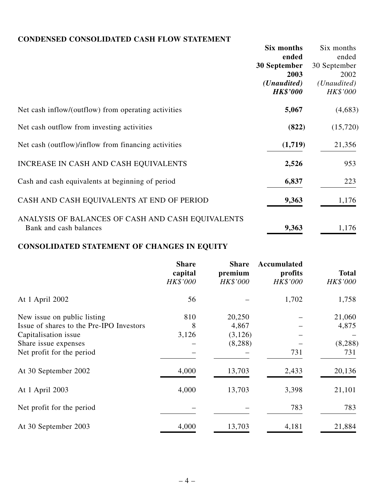### **CONDENSED CONSOLIDATED CASH FLOW STATEMENT**

|                                                     | Six months           | Six months           |
|-----------------------------------------------------|----------------------|----------------------|
|                                                     | ended                | ended                |
|                                                     | 30 September         | 30 September         |
|                                                     | 2003                 | 2002                 |
|                                                     | ( <i>Unaudited</i> ) | ( <i>Unaudited</i> ) |
|                                                     | <b>HK\$'000</b>      | HK\$'000             |
| Net cash inflow/(outflow) from operating activities | 5,067                | (4,683)              |
| Net cash outflow from investing activities          | (822)                | (15,720)             |
| Net cash (outflow)/inflow from financing activities | (1,719)              | 21,356               |
| INCREASE IN CASH AND CASH EQUIVALENTS               | 2,526                | 953                  |
| Cash and cash equivalents at beginning of period    | 6,837                | 223                  |
| CASH AND CASH EQUIVALENTS AT END OF PERIOD          | 9,363                | 1,176                |
| ANALYSIS OF BALANCES OF CASH AND CASH EQUIVALENTS   |                      |                      |
| Bank and cash balances                              | 9,363                | 1,176                |

# **CONSOLIDATED STATEMENT OF CHANGES IN EQUITY**

|                                          | <b>Share</b><br>capital<br>HK\$'000 | <b>Share</b><br>premium<br>HK\$'000 | Accumulated<br>profits<br>HK\$'000 | <b>Total</b><br>HK\$'000 |
|------------------------------------------|-------------------------------------|-------------------------------------|------------------------------------|--------------------------|
| At 1 April 2002                          | 56                                  |                                     | 1,702                              | 1,758                    |
| New issue on public listing              | 810                                 | 20,250                              |                                    | 21,060                   |
| Issue of shares to the Pre-IPO Investors | 8                                   | 4,867                               |                                    | 4,875                    |
| Capitalisation issue                     | 3,126                               | (3, 126)                            |                                    |                          |
| Share issue expenses                     |                                     | (8, 288)                            |                                    | (8, 288)                 |
| Net profit for the period                |                                     |                                     | 731                                | 731                      |
| At 30 September 2002                     | 4,000                               | 13,703                              | 2,433                              | 20,136                   |
| At 1 April 2003                          | 4,000                               | 13,703                              | 3,398                              | 21,101                   |
| Net profit for the period                |                                     |                                     | 783                                | 783                      |
| At 30 September 2003                     | 4,000                               | 13,703                              | 4,181                              | 21,884                   |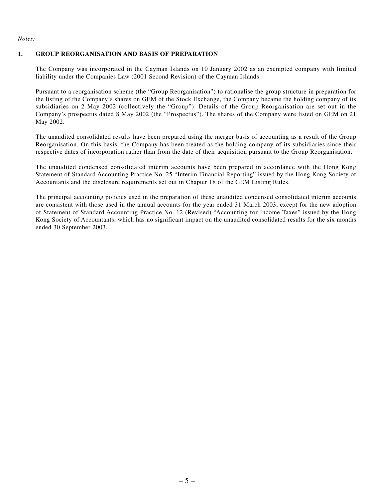*Notes:*

#### **1. GROUP REORGANISATION AND BASIS OF PREPARATION**

The Company was incorporated in the Cayman Islands on 10 January 2002 as an exempted company with limited liability under the Companies Law (2001 Second Revision) of the Cayman Islands.

Pursuant to a reorganisation scheme (the "Group Reorganisation") to rationalise the group structure in preparation for the listing of the Company's shares on GEM of the Stock Exchange, the Company became the holding company of its subsidiaries on 2 May 2002 (collectively the "Group"). Details of the Group Reorganisation are set out in the Company's prospectus dated 8 May 2002 (the "Prospectus"). The shares of the Company were listed on GEM on 21 May 2002.

The unaudited consolidated results have been prepared using the merger basis of accounting as a result of the Group Reorganisation. On this basis, the Company has been treated as the holding company of its subsidiaries since their respective dates of incorporation rather than from the date of their acquisition pursuant to the Group Reorganisation.

The unaudited condensed consolidated interim accounts have been prepared in accordance with the Hong Kong Statement of Standard Accounting Practice No. 25 "Interim Financial Reporting" issued by the Hong Kong Society of Accountants and the disclosure requirements set out in Chapter 18 of the GEM Listing Rules.

The principal accounting policies used in the preparation of these unaudited condensed consolidated interim accounts are consistent with those used in the annual accounts for the year ended 31 March 2003, except for the new adoption of Statement of Standard Accounting Practice No. 12 (Revised) "Accounting for Income Taxes" issued by the Hong Kong Society of Accountants, which has no significant impact on the unaudited consolidated results for the six months ended 30 September 2003.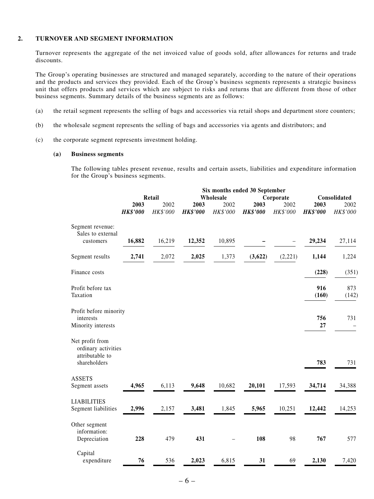#### **2. TURNOVER AND SEGMENT INFORMATION**

Turnover represents the aggregate of the net invoiced value of goods sold, after allowances for returns and trade discounts.

The Group's operating businesses are structured and managed separately, according to the nature of their operations and the products and services they provided. Each of the Group's business segments represents a strategic business unit that offers products and services which are subject to risks and returns that are different from those of other business segments. Summary details of the business segments are as follows:

- (a) the retail segment represents the selling of bags and accessories via retail shops and department store counters;
- (b) the wholesale segment represents the selling of bags and accessories via agents and distributors; and
- (c) the corporate segment represents investment holding.

#### **(a) Business segments**

The following tables present revenue, results and certain assets, liabilities and expenditure information for the Group's business segments.

|                                                           |                 |          |                 | Six months ended 30 September |                 |          |                           |          |
|-----------------------------------------------------------|-----------------|----------|-----------------|-------------------------------|-----------------|----------|---------------------------|----------|
|                                                           |                 | Retail   |                 | Wholesale                     |                 |          | Consolidated<br>Corporate |          |
|                                                           | 2003            | 2002     | 2003            | 2002                          | 2003            | 2002     | 2003                      | 2002     |
|                                                           | <b>HK\$'000</b> | HK\$'000 | <b>HK\$'000</b> | HK\$'000                      | <b>HK\$'000</b> | HK\$'000 | <b>HK\$'000</b>           | HK\$'000 |
| Segment revenue:<br>Sales to external                     |                 |          |                 |                               |                 |          |                           |          |
| customers                                                 | 16,882          | 16,219   | 12,352          | 10,895                        |                 |          | 29,234                    | 27,114   |
| Segment results                                           | 2,741           | 2,072    | 2,025           | 1,373                         | (3,622)         | (2,221)  | 1,144                     | 1,224    |
| Finance costs                                             |                 |          |                 |                               |                 |          | (228)                     | (351)    |
| Profit before tax                                         |                 |          |                 |                               |                 |          | 916                       | 873      |
| Taxation                                                  |                 |          |                 |                               |                 |          | (160)                     | (142)    |
| Profit before minority                                    |                 |          |                 |                               |                 |          |                           |          |
| interests                                                 |                 |          |                 |                               |                 |          | 756                       | 731      |
| Minority interests                                        |                 |          |                 |                               |                 |          | 27                        |          |
| Net profit from<br>ordinary activities<br>attributable to |                 |          |                 |                               |                 |          |                           |          |
| shareholders                                              |                 |          |                 |                               |                 |          | 783                       | 731      |
| <b>ASSETS</b>                                             |                 |          |                 |                               |                 |          |                           |          |
| Segment assets                                            | 4,965           | 6,113    | 9,648           | 10,682                        | 20,101          | 17,593   | 34,714                    | 34,388   |
| <b>LIABILITIES</b>                                        |                 |          |                 |                               |                 |          |                           |          |
| Segment liabilities                                       | 2,996           | 2,157    | 3,481           | 1,845                         | 5,965           | 10,251   | 12,442                    | 14,253   |
| Other segment<br>information:                             |                 |          |                 |                               |                 |          |                           |          |
| Depreciation                                              | 228             | 479      | 431             |                               | 108             | 98       | 767                       | 577      |
| Capital                                                   |                 |          |                 |                               |                 |          |                           |          |
| expenditure                                               | 76              | 536      | 2,023           | 6,815                         | 31              | 69       | 2,130                     | 7,420    |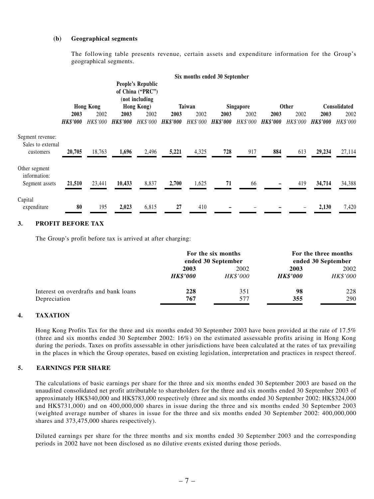#### **(b) Geographical segments**

The following table presents revenue, certain assets and expenditure information for the Group's geographical segments.

|                                                    |                 |                  |                 |                                                                              |                 |          | Six months ended 30 September |           |                 |                 |                 |                 |
|----------------------------------------------------|-----------------|------------------|-----------------|------------------------------------------------------------------------------|-----------------|----------|-------------------------------|-----------|-----------------|-----------------|-----------------|-----------------|
|                                                    |                 | <b>Hong Kong</b> |                 | <b>People's Republic</b><br>of China ("PRC")<br>(not including<br>Hong Kong) |                 | Taiwan   |                               | Singapore |                 | Other           |                 | Consolidated    |
|                                                    | 2003            | 2002             | 2003            | 2002                                                                         | 2003            | 2002     | 2003                          | 2002      | 2003            | 2002            | 2003            | 2002            |
|                                                    | <b>HK\$'000</b> | <b>HK\$'000</b>  | <b>HK\$'000</b> | HK\$'000                                                                     | <b>HK\$'000</b> | HK\$'000 | <b>HK\$'000</b>               | HK\$'000  | <b>HK\$'000</b> | <b>HK\$'000</b> | <b>HK\$'000</b> | <b>HK\$'000</b> |
| Segment revenue:<br>Sales to external<br>customers | 20,705          | 18,763           | 1,696           | 2,496                                                                        | 5,221           | 4,325    | 728                           | 917       | 884             | 613             | 29,234          | 27,114          |
| Other segment<br>information:<br>Segment assets    | 21,510          | 23,441           | 10,433          | 8,837                                                                        | 2,700           | 1,625    | 71                            | 66        |                 | 419             | 34,714          | 34,388          |
| Capital<br>expenditure                             | 80              | 195              | 2,023           | 6,815                                                                        | 27              | 410      |                               |           |                 |                 | 2,130           | 7,420           |

#### **3. PROFIT BEFORE TAX**

The Group's profit before tax is arrived at after charging:

|                                       |                 | For the six months<br>ended 30 September |                        | For the three months<br>ended 30 September |
|---------------------------------------|-----------------|------------------------------------------|------------------------|--------------------------------------------|
|                                       | 2003            | 2002                                     | 2003                   | 2002                                       |
|                                       | <b>HK\$'000</b> | <i>HK\$'000</i>                          | <i><b>HK\$'000</b></i> | HK\$'000                                   |
| Interest on overdrafts and bank loans | 228             | 351                                      | 98                     | 228                                        |
| Depreciation                          | 767             | 577                                      | 355                    | 290                                        |

#### **4. TAXATION**

Hong Kong Profits Tax for the three and six months ended 30 September 2003 have been provided at the rate of 17.5% (three and six months ended 30 September 2002: 16%) on the estimated assessable profits arising in Hong Kong during the periods. Taxes on profits assessable in other jurisdictions have been calculated at the rates of tax prevailing in the places in which the Group operates, based on existing legislation, interpretation and practices in respect thereof.

#### **5. EARNINGS PER SHARE**

The calculations of basic earnings per share for the three and six months ended 30 September 2003 are based on the unaudited consolidated net profit attributable to shareholders for the three and six months ended 30 September 2003 of approximately HK\$340,000 and HK\$783,000 respectively (three and six months ended 30 September 2002: HK\$324,000 and HK\$731,000) and on 400,000,000 shares in issue during the three and six months ended 30 September 2003 (weighted average number of shares in issue for the three and six months ended 30 September 2002: 400,000,000 shares and 373,475,000 shares respectively).

Diluted earnings per share for the three months and six months ended 30 September 2003 and the corresponding periods in 2002 have not been disclosed as no dilutive events existed during those periods.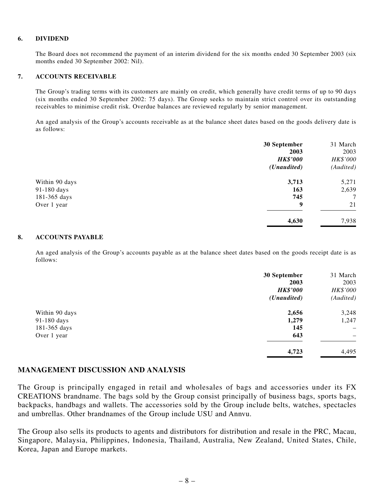#### **6. DIVIDEND**

The Board does not recommend the payment of an interim dividend for the six months ended 30 September 2003 (six months ended 30 September 2002: Nil).

#### **7. ACCOUNTS RECEIVABLE**

The Group's trading terms with its customers are mainly on credit, which generally have credit terms of up to 90 days (six months ended 30 September 2002: 75 days). The Group seeks to maintain strict control over its outstanding receivables to minimise credit risk. Overdue balances are reviewed regularly by senior management.

An aged analysis of the Group's accounts receivable as at the balance sheet dates based on the goods delivery date is as follows:

|                | 30 September         | 31 March  |
|----------------|----------------------|-----------|
|                | 2003                 | 2003      |
|                | <b>HK\$'000</b>      | HK\$'000  |
|                | ( <i>Unaudited</i> ) | (Audited) |
| Within 90 days | 3,713                | 5,271     |
| 91-180 days    | 163                  | 2,639     |
| 181-365 days   | 745                  | 7         |
| Over 1 year    | 9                    | 21        |
|                | 4,630                | 7,938     |
|                |                      |           |

#### **8. ACCOUNTS PAYABLE**

An aged analysis of the Group's accounts payable as at the balance sheet dates based on the goods receipt date is as follows:

|                | 30 September         | 31 March          |
|----------------|----------------------|-------------------|
|                | 2003                 | 2003              |
|                | <b>HK\$'000</b>      | HK\$'000          |
|                | ( <i>Unaudited</i> ) | (Audited)         |
| Within 90 days | 2,656                | 3,248             |
| 91-180 days    | 1,279                | 1,247             |
| 181-365 days   | 145                  | $\qquad \qquad -$ |
| Over 1 year    | 643                  | -                 |
|                | 4,723                | 4,495             |

#### **MANAGEMENT DISCUSSION AND ANALYSIS**

The Group is principally engaged in retail and wholesales of bags and accessories under its FX CREATIONS brandname. The bags sold by the Group consist principally of business bags, sports bags, backpacks, handbags and wallets. The accessories sold by the Group include belts, watches, spectacles and umbrellas. Other brandnames of the Group include USU and Annvu.

The Group also sells its products to agents and distributors for distribution and resale in the PRC, Macau, Singapore, Malaysia, Philippines, Indonesia, Thailand, Australia, New Zealand, United States, Chile, Korea, Japan and Europe markets.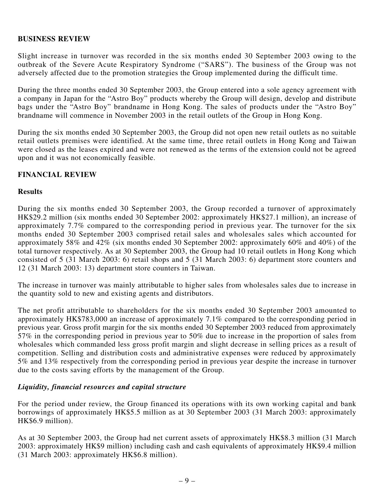#### **BUSINESS REVIEW**

Slight increase in turnover was recorded in the six months ended 30 September 2003 owing to the outbreak of the Severe Acute Respiratory Syndrome ("SARS"). The business of the Group was not adversely affected due to the promotion strategies the Group implemented during the difficult time.

During the three months ended 30 September 2003, the Group entered into a sole agency agreement with a company in Japan for the "Astro Boy" products whereby the Group will design, develop and distribute bags under the "Astro Boy" brandname in Hong Kong. The sales of products under the "Astro Boy" brandname will commence in November 2003 in the retail outlets of the Group in Hong Kong.

During the six months ended 30 September 2003, the Group did not open new retail outlets as no suitable retail outlets premises were identified. At the same time, three retail outlets in Hong Kong and Taiwan were closed as the leases expired and were not renewed as the terms of the extension could not be agreed upon and it was not economically feasible.

#### **FINANCIAL REVIEW**

#### **Results**

During the six months ended 30 September 2003, the Group recorded a turnover of approximately HK\$29.2 million (six months ended 30 September 2002: approximately HK\$27.1 million), an increase of approximately 7.7% compared to the corresponding period in previous year. The turnover for the six months ended 30 September 2003 comprised retail sales and wholesales sales which accounted for approximately 58% and 42% (six months ended 30 September 2002: approximately 60% and 40%) of the total turnover respectively. As at 30 September 2003, the Group had 10 retail outlets in Hong Kong which consisted of 5 (31 March 2003: 6) retail shops and 5 (31 March 2003: 6) department store counters and 12 (31 March 2003: 13) department store counters in Taiwan.

The increase in turnover was mainly attributable to higher sales from wholesales sales due to increase in the quantity sold to new and existing agents and distributors.

The net profit attributable to shareholders for the six months ended 30 September 2003 amounted to approximately HK\$783,000 an increase of approximately 7.1% compared to the corresponding period in previous year. Gross profit margin for the six months ended 30 September 2003 reduced from approximately 57% in the corresponding period in previous year to 50% due to increase in the proportion of sales from wholesales which commanded less gross profit margin and slight decrease in selling prices as a result of competition. Selling and distribution costs and administrative expenses were reduced by approximately 5% and 13% respectively from the corresponding period in previous year despite the increase in turnover due to the costs saving efforts by the management of the Group.

#### *Liquidity, financial resources and capital structure*

For the period under review, the Group financed its operations with its own working capital and bank borrowings of approximately HK\$5.5 million as at 30 September 2003 (31 March 2003: approximately HK\$6.9 million).

As at 30 September 2003, the Group had net current assets of approximately HK\$8.3 million (31 March 2003: approximately HK\$9 million) including cash and cash equivalents of approximately HK\$9.4 million (31 March 2003: approximately HK\$6.8 million).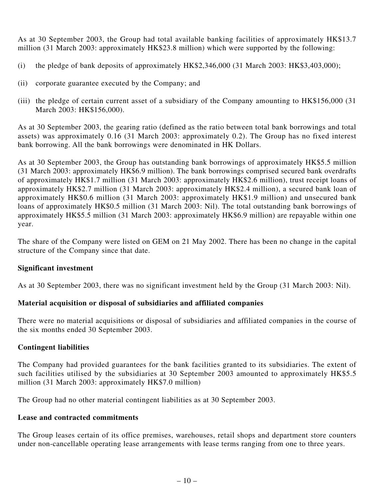As at 30 September 2003, the Group had total available banking facilities of approximately HK\$13.7 million (31 March 2003: approximately HK\$23.8 million) which were supported by the following:

- (i) the pledge of bank deposits of approximately  $HK$2,346,000$  (31 March 2003:  $HK$3,403,000$ );
- (ii) corporate guarantee executed by the Company; and
- (iii) the pledge of certain current asset of a subsidiary of the Company amounting to HK\$156,000 (31 March 2003: HK\$156,000).

As at 30 September 2003, the gearing ratio (defined as the ratio between total bank borrowings and total assets) was approximately 0.16 (31 March 2003: approximately 0.2). The Group has no fixed interest bank borrowing. All the bank borrowings were denominated in HK Dollars.

As at 30 September 2003, the Group has outstanding bank borrowings of approximately HK\$5.5 million (31 March 2003: approximately HK\$6.9 million). The bank borrowings comprised secured bank overdrafts of approximately HK\$1.7 million (31 March 2003: approximately HK\$2.6 million), trust receipt loans of approximately HK\$2.7 million (31 March 2003: approximately HK\$2.4 million), a secured bank loan of approximately HK\$0.6 million (31 March 2003: approximately HK\$1.9 million) and unsecured bank loans of approximately HK\$0.5 million (31 March 2003: Nil). The total outstanding bank borrowings of approximately HK\$5.5 million (31 March 2003: approximately HK\$6.9 million) are repayable within one year.

The share of the Company were listed on GEM on 21 May 2002. There has been no change in the capital structure of the Company since that date.

### **Significant investment**

As at 30 September 2003, there was no significant investment held by the Group (31 March 2003: Nil).

### **Material acquisition or disposal of subsidiaries and affiliated companies**

There were no material acquisitions or disposal of subsidiaries and affiliated companies in the course of the six months ended 30 September 2003.

### **Contingent liabilities**

The Company had provided guarantees for the bank facilities granted to its subsidiaries. The extent of such facilities utilised by the subsidiaries at 30 September 2003 amounted to approximately HK\$5.5 million (31 March 2003: approximately HK\$7.0 million)

The Group had no other material contingent liabilities as at 30 September 2003.

### **Lease and contracted commitments**

The Group leases certain of its office premises, warehouses, retail shops and department store counters under non-cancellable operating lease arrangements with lease terms ranging from one to three years.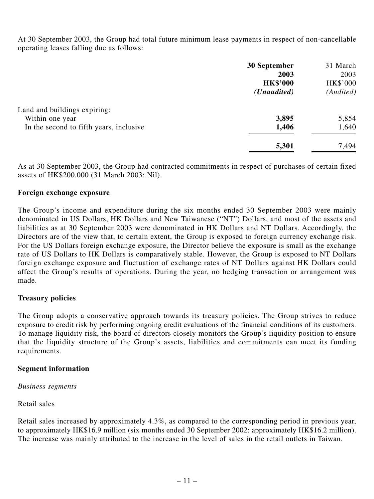At 30 September 2003, the Group had total future minimum lease payments in respect of non-cancellable operating leases falling due as follows:

|                                         | 30 September         | 31 March  |
|-----------------------------------------|----------------------|-----------|
|                                         | 2003                 | 2003      |
|                                         | <b>HK\$'000</b>      | HK\$'000  |
|                                         | ( <i>Unaudited</i> ) | (Audited) |
| Land and buildings expiring:            |                      |           |
| Within one year                         | 3,895                | 5,854     |
| In the second to fifth years, inclusive | 1,406                | 1,640     |
|                                         | 5,301                | 7,494     |

As at 30 September 2003, the Group had contracted commitments in respect of purchases of certain fixed assets of HK\$200,000 (31 March 2003: Nil).

#### **Foreign exchange exposure**

The Group's income and expenditure during the six months ended 30 September 2003 were mainly denominated in US Dollars, HK Dollars and New Taiwanese ("NT") Dollars, and most of the assets and liabilities as at 30 September 2003 were denominated in HK Dollars and NT Dollars. Accordingly, the Directors are of the view that, to certain extent, the Group is exposed to foreign currency exchange risk. For the US Dollars foreign exchange exposure, the Director believe the exposure is small as the exchange rate of US Dollars to HK Dollars is comparatively stable. However, the Group is exposed to NT Dollars foreign exchange exposure and fluctuation of exchange rates of NT Dollars against HK Dollars could affect the Group's results of operations. During the year, no hedging transaction or arrangement was made.

### **Treasury policies**

The Group adopts a conservative approach towards its treasury policies. The Group strives to reduce exposure to credit risk by performing ongoing credit evaluations of the financial conditions of its customers. To manage liquidity risk, the board of directors closely monitors the Group's liquidity position to ensure that the liquidity structure of the Group's assets, liabilities and commitments can meet its funding requirements.

### **Segment information**

*Business segments*

Retail sales

Retail sales increased by approximately 4.3%, as compared to the corresponding period in previous year, to approximately HK\$16.9 million (six months ended 30 September 2002: approximately HK\$16.2 million). The increase was mainly attributed to the increase in the level of sales in the retail outlets in Taiwan.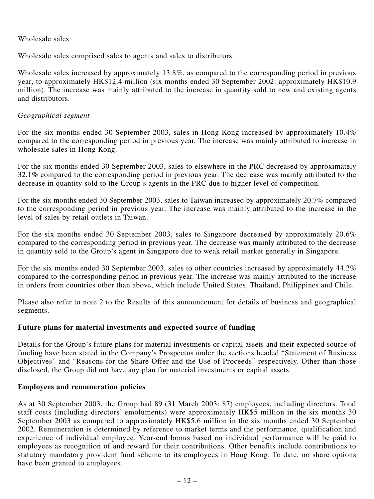#### Wholesale sales

Wholesale sales comprised sales to agents and sales to distributors.

Wholesale sales increased by approximately 13.8%, as compared to the corresponding period in previous year, to approximately HK\$12.4 million (six months ended 30 September 2002: approximately HK\$10.9 million). The increase was mainly attributed to the increase in quantity sold to new and existing agents and distributors.

#### *Geographical segment*

For the six months ended 30 September 2003, sales in Hong Kong increased by approximately 10.4% compared to the corresponding period in previous year. The increase was mainly attributed to increase in wholesale sales in Hong Kong.

For the six months ended 30 September 2003, sales to elsewhere in the PRC decreased by approximately 32.1% compared to the corresponding period in previous year. The decrease was mainly attributed to the decrease in quantity sold to the Group's agents in the PRC due to higher level of competition.

For the six months ended 30 September 2003, sales to Taiwan increased by approximately 20.7% compared to the corresponding period in previous year. The increase was mainly attributed to the increase in the level of sales by retail outlets in Taiwan.

For the six months ended 30 September 2003, sales to Singapore decreased by approximately 20.6% compared to the corresponding period in previous year. The decrease was mainly attributed to the decrease in quantity sold to the Group's agent in Singapore due to weak retail market generally in Singapore.

For the six months ended 30 September 2003, sales to other countries increased by approximately 44.2% compared to the corresponding period in previous year. The increase was mainly attributed to the increase in orders from countries other than above, which include United States, Thailand, Philippines and Chile.

Please also refer to note 2 to the Results of this announcement for details of business and geographical segments.

### **Future plans for material investments and expected source of funding**

Details for the Group's future plans for material investments or capital assets and their expected source of funding have been stated in the Company's Prospectus under the sections headed "Statement of Business Objectives" and "Reasons for the Share Offer and the Use of Proceeds" respectively. Other than those disclosed, the Group did not have any plan for material investments or capital assets.

#### **Employees and remuneration policies**

As at 30 September 2003, the Group had 89 (31 March 2003: 87) employees, including directors. Total staff costs (including directors' emoluments) were approximately HK\$5 million in the six months 30 September 2003 as compared to approximately HK\$5.6 million in the six months ended 30 September 2002. Remuneration is determined by reference to market terms and the performance, qualification and experience of individual employee. Year-end bonus based on individual performance will be paid to employees as recognition of and reward for their contributions. Other benefits include contributions to statutory mandatory provident fund scheme to its employees in Hong Kong. To date, no share options have been granted to employees.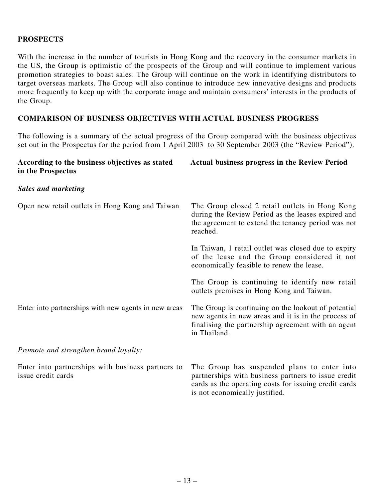### **PROSPECTS**

With the increase in the number of tourists in Hong Kong and the recovery in the consumer markets in the US, the Group is optimistic of the prospects of the Group and will continue to implement various promotion strategies to boast sales. The Group will continue on the work in identifying distributors to target overseas markets. The Group will also continue to introduce new innovative designs and products more frequently to keep up with the corporate image and maintain consumers' interests in the products of the Group.

#### **COMPARISON OF BUSINESS OBJECTIVES WITH ACTUAL BUSINESS PROGRESS**

The following is a summary of the actual progress of the Group compared with the business objectives set out in the Prospectus for the period from 1 April 2003 to 30 September 2003 (the "Review Period").

| According to the business objectives as stated<br>in the Prospectus     | <b>Actual business progress in the Review Period</b>                                                                                                                                          |
|-------------------------------------------------------------------------|-----------------------------------------------------------------------------------------------------------------------------------------------------------------------------------------------|
| <b>Sales and marketing</b>                                              |                                                                                                                                                                                               |
| Open new retail outlets in Hong Kong and Taiwan                         | The Group closed 2 retail outlets in Hong Kong<br>during the Review Period as the leases expired and<br>the agreement to extend the tenancy period was not<br>reached.                        |
|                                                                         | In Taiwan, 1 retail outlet was closed due to expiry<br>of the lease and the Group considered it not<br>economically feasible to renew the lease.                                              |
|                                                                         | The Group is continuing to identify new retail<br>outlets premises in Hong Kong and Taiwan.                                                                                                   |
| Enter into partnerships with new agents in new areas                    | The Group is continuing on the lookout of potential<br>new agents in new areas and it is in the process of<br>finalising the partnership agreement with an agent<br>in Thailand.              |
| Promote and strengthen brand loyalty:                                   |                                                                                                                                                                                               |
| Enter into partnerships with business partners to<br>issue credit cards | The Group has suspended plans to enter into<br>partnerships with business partners to issue credit<br>cards as the operating costs for issuing credit cards<br>is not economically justified. |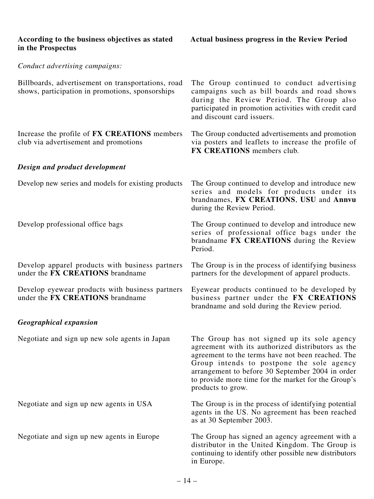| According to the business objectives as stated<br>in the Prospectus                                    | <b>Actual business progress in the Review Period</b>                                                                                                                                                                                                                                                                               |
|--------------------------------------------------------------------------------------------------------|------------------------------------------------------------------------------------------------------------------------------------------------------------------------------------------------------------------------------------------------------------------------------------------------------------------------------------|
| Conduct advertising campaigns:                                                                         |                                                                                                                                                                                                                                                                                                                                    |
| Billboards, advertisement on transportations, road<br>shows, participation in promotions, sponsorships | The Group continued to conduct advertising<br>campaigns such as bill boards and road shows<br>during the Review Period. The Group also<br>participated in promotion activities with credit card<br>and discount card issuers.                                                                                                      |
| Increase the profile of <b>FX CREATIONS</b> members<br>club via advertisement and promotions           | The Group conducted advertisements and promotion<br>via posters and leaflets to increase the profile of<br><b>FX CREATIONS</b> members club.                                                                                                                                                                                       |
| Design and product development                                                                         |                                                                                                                                                                                                                                                                                                                                    |
| Develop new series and models for existing products                                                    | The Group continued to develop and introduce new<br>series and models for products under its<br>brandnames, FX CREATIONS, USU and Annvu<br>during the Review Period.                                                                                                                                                               |
| Develop professional office bags                                                                       | The Group continued to develop and introduce new<br>series of professional office bags under the<br>brandname FX CREATIONS during the Review<br>Period.                                                                                                                                                                            |
| Develop apparel products with business partners<br>under the FX CREATIONS brandname                    | The Group is in the process of identifying business<br>partners for the development of apparel products.                                                                                                                                                                                                                           |
| Develop eyewear products with business partners<br>under the FX CREATIONS brandname                    | Eyewear products continued to be developed by<br>business partner under the FX CREATIONS<br>brandname and sold during the Review period.                                                                                                                                                                                           |
| <b>Geographical expansion</b>                                                                          |                                                                                                                                                                                                                                                                                                                                    |
| Negotiate and sign up new sole agents in Japan                                                         | The Group has not signed up its sole agency<br>agreement with its authorized distributors as the<br>agreement to the terms have not been reached. The<br>Group intends to postpone the sole agency<br>arrangement to before 30 September 2004 in order<br>to provide more time for the market for the Group's<br>products to grow. |
| Negotiate and sign up new agents in USA                                                                | The Group is in the process of identifying potential<br>agents in the US. No agreement has been reached<br>as at 30 September 2003.                                                                                                                                                                                                |
| Negotiate and sign up new agents in Europe                                                             | The Group has signed an agency agreement with a<br>distributor in the United Kingdom. The Group is<br>continuing to identify other possible new distributors<br>in Europe.                                                                                                                                                         |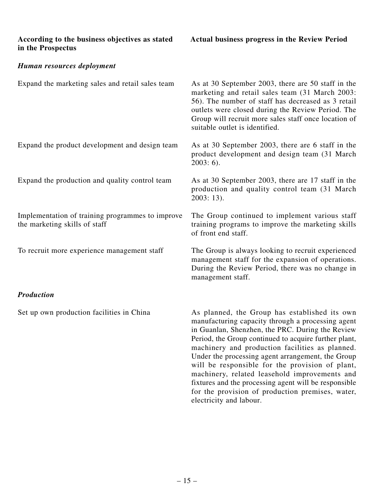| According to the business objectives as stated |  |  |
|------------------------------------------------|--|--|
| in the Prospectus                              |  |  |

for the provision of production premises, water,

electricity and labour.

### *Human resources deployment*

| Expand the marketing sales and retail sales team                                  | As at 30 September 2003, there are 50 staff in the<br>marketing and retail sales team (31 March 2003:<br>56). The number of staff has decreased as 3 retail<br>outlets were closed during the Review Period. The<br>Group will recruit more sales staff once location of<br>suitable outlet is identified.                                                                                                                                                                           |
|-----------------------------------------------------------------------------------|--------------------------------------------------------------------------------------------------------------------------------------------------------------------------------------------------------------------------------------------------------------------------------------------------------------------------------------------------------------------------------------------------------------------------------------------------------------------------------------|
| Expand the product development and design team                                    | As at 30 September 2003, there are 6 staff in the<br>product development and design team (31 March)<br>$2003:6$ .                                                                                                                                                                                                                                                                                                                                                                    |
| Expand the production and quality control team                                    | As at 30 September 2003, there are 17 staff in the<br>production and quality control team (31 March)<br>$2003:13$ .                                                                                                                                                                                                                                                                                                                                                                  |
| Implementation of training programmes to improve<br>the marketing skills of staff | The Group continued to implement various staff<br>training programs to improve the marketing skills<br>of front end staff.                                                                                                                                                                                                                                                                                                                                                           |
| To recruit more experience management staff                                       | The Group is always looking to recruit experienced<br>management staff for the expansion of operations.<br>During the Review Period, there was no change in<br>management staff.                                                                                                                                                                                                                                                                                                     |
| <b>Production</b>                                                                 |                                                                                                                                                                                                                                                                                                                                                                                                                                                                                      |
| Set up own production facilities in China                                         | As planned, the Group has established its own<br>manufacturing capacity through a processing agent<br>in Guanlan, Shenzhen, the PRC. During the Review<br>Period, the Group continued to acquire further plant,<br>machinery and production facilities as planned.<br>Under the processing agent arrangement, the Group<br>will be responsible for the provision of plant,<br>machinery, related leasehold improvements and<br>fixtures and the processing agent will be responsible |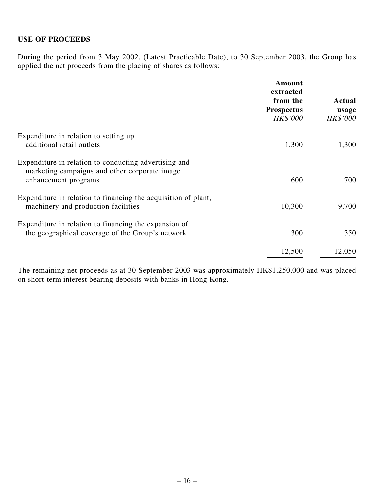#### **USE OF PROCEEDS**

During the period from 3 May 2002, (Latest Practicable Date), to 30 September 2003, the Group has applied the net proceeds from the placing of shares as follows:

|                                                                                                                                | Amount<br>extracted<br>from the<br><b>Prospectus</b><br>HK\$'000 | Actual<br>usage<br>HK\$'000 |
|--------------------------------------------------------------------------------------------------------------------------------|------------------------------------------------------------------|-----------------------------|
| Expenditure in relation to setting up<br>additional retail outlets                                                             | 1,300                                                            | 1,300                       |
| Expenditure in relation to conducting advertising and<br>marketing campaigns and other corporate image<br>enhancement programs | 600                                                              | 700                         |
| Expenditure in relation to financing the acquisition of plant,<br>machinery and production facilities                          | 10,300                                                           | 9,700                       |
| Expenditure in relation to financing the expansion of<br>the geographical coverage of the Group's network                      | 300                                                              |                             |
|                                                                                                                                | 12,500                                                           | 12,050                      |

The remaining net proceeds as at 30 September 2003 was approximately HK\$1,250,000 and was placed on short-term interest bearing deposits with banks in Hong Kong.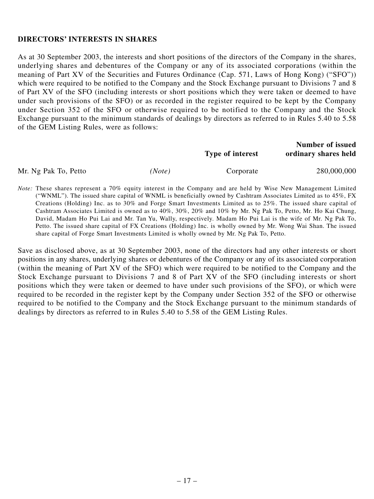#### **DIRECTORS' INTERESTS IN SHARES**

As at 30 September 2003, the interests and short positions of the directors of the Company in the shares, underlying shares and debentures of the Company or any of its associated corporations (within the meaning of Part XV of the Securities and Futures Ordinance (Cap. 571, Laws of Hong Kong) ("SFO")) which were required to be notified to the Company and the Stock Exchange pursuant to Divisions 7 and 8 of Part XV of the SFO (including interests or short positions which they were taken or deemed to have under such provisions of the SFO) or as recorded in the register required to be kept by the Company under Section 352 of the SFO or otherwise required to be notified to the Company and the Stock Exchange pursuant to the minimum standards of dealings by directors as referred to in Rules 5.40 to 5.58 of the GEM Listing Rules, were as follows:

|                      |        | <b>Type of interest</b> | <b>Number of issued</b><br>ordinary shares held |
|----------------------|--------|-------------------------|-------------------------------------------------|
| Mr. Ng Pak To, Petto | (Note) | Corporate               | 280,000,000                                     |

*Note:* These shares represent a 70% equity interest in the Company and are held by Wise New Management Limited ("WNML"). The issued share capital of WNML is beneficially owned by Cashtram Associates Limited as to 45%, FX Creations (Holding) Inc. as to 30% and Forge Smart Investments Limited as to 25%. The issued share capital of Cashtram Associates Limited is owned as to 40%, 30%, 20% and 10% by Mr. Ng Pak To, Petto, Mr. Ho Kai Chung, David, Madam Ho Pui Lai and Mr. Tan Yu, Wally, respectively. Madam Ho Pui Lai is the wife of Mr. Ng Pak To, Petto. The issued share capital of FX Creations (Holding) Inc. is wholly owned by Mr. Wong Wai Shan. The issued share capital of Forge Smart Investments Limited is wholly owned by Mr. Ng Pak To, Petto.

Save as disclosed above, as at 30 September 2003, none of the directors had any other interests or short positions in any shares, underlying shares or debentures of the Company or any of its associated corporation (within the meaning of Part XV of the SFO) which were required to be notified to the Company and the Stock Exchange pursuant to Divisions 7 and 8 of Part XV of the SFO (including interests or short positions which they were taken or deemed to have under such provisions of the SFO), or which were required to be recorded in the register kept by the Company under Section 352 of the SFO or otherwise required to be notified to the Company and the Stock Exchange pursuant to the minimum standards of dealings by directors as referred to in Rules 5.40 to 5.58 of the GEM Listing Rules.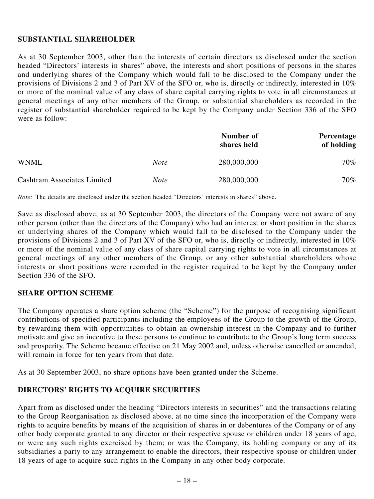### **SUBSTANTIAL SHAREHOLDER**

As at 30 September 2003, other than the interests of certain directors as disclosed under the section headed "Directors' interests in shares" above, the interests and short positions of persons in the shares and underlying shares of the Company which would fall to be disclosed to the Company under the provisions of Divisions 2 and 3 of Part XV of the SFO or, who is, directly or indirectly, interested in 10% or more of the nominal value of any class of share capital carrying rights to vote in all circumstances at general meetings of any other members of the Group, or substantial shareholders as recorded in the register of substantial shareholder required to be kept by the Company under Section 336 of the SFO were as follow:

|                             |             | Number of<br>shares held | Percentage<br>of holding |
|-----------------------------|-------------|--------------------------|--------------------------|
| WNML                        | <b>Note</b> | 280,000,000              | 70%                      |
| Cashtram Associates Limited | <i>Note</i> | 280,000,000              | 70%                      |

*Note:* The details are disclosed under the section headed "Directors' interests in shares" above.

Save as disclosed above, as at 30 September 2003, the directors of the Company were not aware of any other person (other than the directors of the Company) who had an interest or short position in the shares or underlying shares of the Company which would fall to be disclosed to the Company under the provisions of Divisions 2 and 3 of Part XV of the SFO or, who is, directly or indirectly, interested in 10% or more of the nominal value of any class of share capital carrying rights to vote in all circumstances at general meetings of any other members of the Group, or any other substantial shareholders whose interests or short positions were recorded in the register required to be kept by the Company under Section 336 of the SFO.

### **SHARE OPTION SCHEME**

The Company operates a share option scheme (the "Scheme") for the purpose of recognising significant contributions of specified participants including the employees of the Group to the growth of the Group, by rewarding them with opportunities to obtain an ownership interest in the Company and to further motivate and give an incentive to these persons to continue to contribute to the Group's long term success and prosperity. The Scheme became effective on 21 May 2002 and, unless otherwise cancelled or amended, will remain in force for ten years from that date.

As at 30 September 2003, no share options have been granted under the Scheme.

### **DIRECTORS' RIGHTS TO ACQUIRE SECURITIES**

Apart from as disclosed under the heading "Directors interests in securities" and the transactions relating to the Group Reorganisation as disclosed above, at no time since the incorporation of the Company were rights to acquire benefits by means of the acquisition of shares in or debentures of the Company or of any other body corporate granted to any director or their respective spouse or children under 18 years of age, or were any such rights exercised by them; or was the Company, its holding company or any of its subsidiaries a party to any arrangement to enable the directors, their respective spouse or children under 18 years of age to acquire such rights in the Company in any other body corporate.